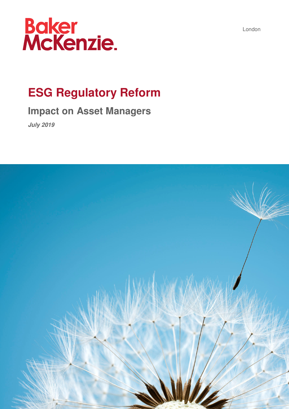

## **ESG Regulatory Reform**

## **Impact on Asset Managers**

**July 2019** 



London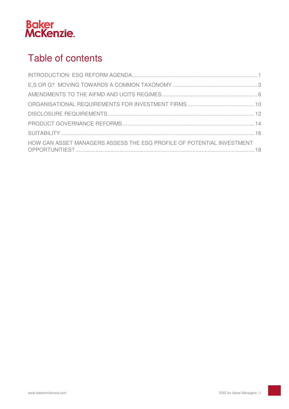

## Table of contents

| HOW CAN ASSET MANAGERS ASSESS THE ESG PROFILE OF POTENTIAL INVESTMENT |  |
|-----------------------------------------------------------------------|--|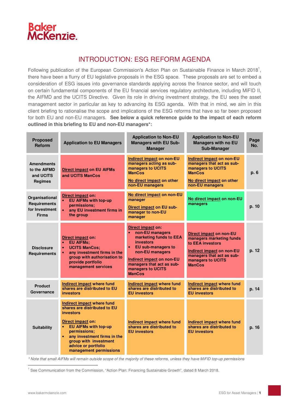

## INTRODUCTION: ESG REFORM AGENDA

Following publication of the European Commission's Action Plan on Sustainable Finance in March 2018<sup>1</sup>, there have been a flurry of EU legislative proposals in the ESG space. These proposals are set to embed a consideration of ESG issues into governance standards applying across the finance sector, and will touch on certain fundamental components of the EU financial services regulatory architecture, including MiFID II, the AIFMD and the UCITS Directive. Given its role in driving investment strategy, the EU sees the asset management sector in particular as key to advancing its ESG agenda. With that in mind, we aim in this client briefing to rationalise the scope and implications of the ESG reforms that have so far been proposed for both EU and non-EU managers. **See below a quick reference guide to the impact of each reform outlined in this briefing to EU and non-EU managers\*:**

| <b>Proposed</b><br><b>Reform</b>                                        | <b>Application to EU Managers</b>                                                                                                                                                                                                                                                     | <b>Application to Non-EU</b><br><b>Managers with EU Sub-</b><br><b>Manager</b>                                                                                                                                                                               | <b>Application to Non-EU</b><br><b>Managers with no EU</b><br>Sub-Manager                                                                                                             | Page<br>No. |
|-------------------------------------------------------------------------|---------------------------------------------------------------------------------------------------------------------------------------------------------------------------------------------------------------------------------------------------------------------------------------|--------------------------------------------------------------------------------------------------------------------------------------------------------------------------------------------------------------------------------------------------------------|---------------------------------------------------------------------------------------------------------------------------------------------------------------------------------------|-------------|
| <b>Amendments</b><br>to the AIFMD<br>and UCITS<br><b>Regimes</b>        | <b>Direct impact on EU AIFMs</b><br>and UCITS ManCos                                                                                                                                                                                                                                  | Indirect impact on non-EU<br>managers acting as sub-<br>managers to UCITS<br><b>ManCos</b><br>No direct impact on other<br>non-EU managers                                                                                                                   | Indirect impact on non-EU<br>managers that act as sub-<br>managers to UCITS<br><b>ManCos</b><br>No direct impact on other<br>non-EU managers                                          | p. 6        |
| Organisational<br><b>Requirements</b><br>for Investment<br><b>Firms</b> | Direct impact on:<br><b>EU AIFMs with top-up</b><br>permissions:<br>any EU investment firms in<br>the group                                                                                                                                                                           | No direct impact on non-EU<br>manager<br><b>Direct impact on EU sub-</b><br>manager to non-EU<br>manager                                                                                                                                                     | No direct impact on non-EU<br>managers                                                                                                                                                | p. 10       |
| <b>Disclosure</b><br>Requirements                                       | Direct impact on:<br><b>EU AIFMs;</b><br><b>UCITS ManCos:</b><br>$\bullet$<br>any investment firms in the<br>group with authorisation to<br>provide portfolio<br>management services                                                                                                  | Direct impact on:<br>non-EU managers<br>$\bullet$<br>marketing funds to EEA<br><b>investors</b><br><b>EU sub-managers to</b><br>$\bullet$<br>non-EU managers<br>Indirect impact on non-EU<br>managers that act as sub-<br>managers to UCITS<br><b>ManCos</b> | <b>Direct impact on non-EU</b><br>managers marketing funds<br>to EEA investors<br><b>Indirect impact on non-EU</b><br>managers that act as sub-<br>managers to UCITS<br><b>ManCos</b> | p. 12       |
| <b>Product</b><br>Governance                                            | <b>Indirect impact where fund</b><br>shares are distributed to EU<br><b>investors</b>                                                                                                                                                                                                 | <b>Indirect impact where fund</b><br>shares are distributed to<br><b>EU investors</b>                                                                                                                                                                        | <b>Indirect impact where fund</b><br>shares are distributed to<br><b>EU</b> investors                                                                                                 | p. 14       |
| <b>Suitability</b>                                                      | Indirect impact where fund<br>shares are distributed to EU<br><b>investors</b><br>Direct impact on:<br><b>EU AIFMs with top-up</b><br>$\bullet$<br>permissions;<br>any investment firms in the<br>$\bullet$<br>group with investment<br>advice or portfolio<br>management permissions | Indirect impact where fund<br>shares are distributed to<br><b>EU investors</b>                                                                                                                                                                               | Indirect impact where fund<br>shares are distributed to<br><b>EU investors</b>                                                                                                        | p. 16       |

\* Note that small AIFMs will remain outside scope of the majority of these reforms, unless they have MiFID top-up permissions

<sup>1</sup> See Communication from the Commission, "Action Plan: Financing Sustainable Growth", dated 8 March 2018.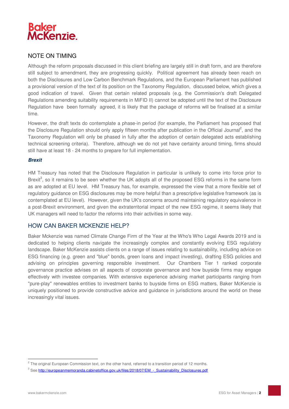

## NOTE ON TIMING

Although the reform proposals discussed in this client briefing are largely still in draft form, and are therefore still subject to amendment, they are progressing quickly. Political agreement has already been reach on both the Disclosures and Low Carbon Benchmark Regulations, and the European Parliament has published a provisional version of the text of its position on the Taxonomy Regulation, discussed below, which gives a good indication of travel. Given that certain related proposals (e.g. the Commission's draft Delegated Regulations amending suitability requirements in MiFID II) cannot be adopted until the text of the Disclosure Regulation have been formally agreed, it is likely that the package of reforms will be finalised at a similar time.

However, the draft texts do contemplate a phase-in period (for example, the Parliament has proposed that the Disclosure Regulation should only apply fifteen months after publication in the Official Journal<sup>2</sup>, and the Taxonomy Regulation will only be phased in fully after the adoption of certain delegated acts establishing technical screening criteria). Therefore, although we do not yet have certainty around timing, firms should still have at least 18 - 24 months to prepare for full implementation.

#### **Brexit**

HM Treasury has noted that the Disclosure Regulation in particular is unlikely to come into force prior to Brexit<sup>3</sup>, so it remains to be seen whether the UK adopts all of the proposed ESG reforms in the same form as are adopted at EU level. HM Treasury has, for example, expressed the view that a more flexible set of regulatory guidance on ESG disclosures may be more helpful than a prescriptive legislative framework (as is contemplated at EU level). However, given the UK's concerns around maintaining regulatory equivalence in a post-Brexit environment, and given the extraterritorial impact of the new ESG regime, it seems likely that UK managers will need to factor the reforms into their activities in some way.

## HOW CAN BAKER MCKENZIE HELP?

Baker Mckenzie was named Climate Change Firm of the Year at the Who's Who Legal Awards 2019 and is dedicated to helping clients navigate the increasingly complex and constantly evolving ESG regulatory landscape. Baker McKenzie assists clients on a range of issues relating to sustainability, including advice on ESG financing (e.g. green and "blue" bonds, green loans and impact investing), drafting ESG policies and advising on principles governing responsible investment. Our Chambers Tier 1 ranked corporate governance practice advises on all aspects of corporate governance and how buyside firms may engage effectively with investee companies. With extensive experience advising market participants ranging from "pure-play" renewables entities to investment banks to buyside firms on ESG matters, Baker McKenzie is uniquely positioned to provide constructive advice and guidance in jurisdictions around the world on these increasingly vital issues.

 $2$  The original European Commission text, on the other hand, referred to a transition period of 12 months.

<sup>&</sup>lt;sup>3</sup> See http://europeanmemoranda.cabinetoffice.gov.uk/files/2018/07/EM\_-\_Sustainability\_Disclosures.pdf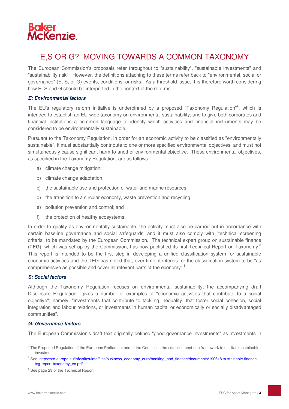

## E,S OR G? MOVING TOWARDS A COMMON TAXONOMY

The European Commission's proposals refer throughout to "sustainability", "sustainable investments" and "sustainability risk". However, the definitions attaching to these terms refer back to "environmental, social or governance" (E, S, or G) events, conditions, or risks. As a threshold issue, it is therefore worth considering how E, S and G should be interpreted in the context of the reforms.

#### **E: Environmental factors**

The EU's regulatory reform initiative is underpinned by a proposed "Taxonomy Regulation"<sup>4</sup>, which is intended to establish an EU-wide taxonomy on environmental sustainability, and to give both corporates and financial institutions a common language to identify which activities and financial instruments may be considered to be environmentally sustainable.

Pursuant to the Taxonomy Regulation, in order for an economic activity to be classified as "environmentally sustainable", it must substantially contribute to one or more specified environmental objectives, and must not simultaneously cause significant harm to another environmental objective. These environmental objectives, as specified in the Taxonomy Regulation, are as follows:

- a) climate change mitigation;
- b) climate change adaptation;
- c) the sustainable use and protection of water and marine resources;
- d) the transition to a circular economy, waste prevention and recycling;
- e) pollution prevention and control; and
- f) the protection of healthy ecosystems.

In order to qualify as environmentally sustainable, the activity must also be carried out in accordance with certain baseline governance and social safeguards, and it must also comply with "technical screening criteria" to be mandated by the European Commission. The technical expert group on sustainable finance (**TEG**), which was set up by the Commission, has now published its first Technical Report on Taxonomy.<sup>5</sup> This report is intended to be the first step in developing a unified classification system for sustainable economic activities and the TEG has noted that, over time, it intends for the classification system to be "as comprehensive as possible and cover all relevant parts of the economy".<sup>6</sup>

#### **S: Social factors**

Although the Taxonomy Regulation focuses on environmental sustainability, the accompanying draft Disclosure Regulation gives a number of examples of "economic activities that contribute to a social objective"; namely, "investments that contribute to tackling inequality, that foster social cohesion, social integration and labour relations, or investments in human capital or economically or socially disadvantaged communities".

#### **G: Governance factors**

The European Commission's draft text originally defined "good governance investments" as investments in

<sup>&</sup>lt;sup>4</sup> The Proposed Regulation of the European Parliament and of the Council on the establishment of a framework to facilitate sustainable investment.

<sup>&</sup>lt;sup>5</sup> See: https://ec.europa.eu/info/sites/info/files/business\_economy\_euro/banking\_and\_finance/documents/190618-sustainable-financeteg-report-taxonomy\_en.pdf

<sup>&</sup>lt;sup>6</sup> See page 23 of the Technical Report.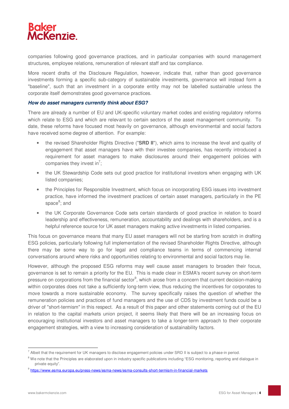

companies following good governance practices, and in particular companies with sound management structures, employee relations, remuneration of relevant staff and tax compliance.

More recent drafts of the Disclosure Regulation, however, indicate that, rather than good governance investments forming a specific sub-category of sustainable investments, governance will instead form a "baseline", such that an investment in a corporate entity may not be labelled sustainable unless the corporate itself demonstrates good governance practices.

#### **How do asset managers currently think about ESG?**

There are already a number of EU and UK-specific voluntary market codes and existing regulatory reforms which relate to ESG and which are relevant to certain sectors of the asset management community. To date, these reforms have focused most heavily on governance, although environmental and social factors have received some degree of attention. For example:

- the revised Shareholder Rights Directive ("**SRD II**"), which aims to increase the level and quality of engagement that asset managers have with their investee companies, has recently introduced a requirement for asset managers to make disclosures around their engagement policies with companies they invest in<sup>7</sup>;
- the UK Stewardship Code sets out good practice for institutional investors when engaging with UK listed companies;
- the Principles for Responsible Investment, which focus on incorporating ESG issues into investment practice, have informed the investment practices of certain asset managers, particularly in the PE space<sup>8</sup>; and
- the UK Corporate Governance Code sets certain standards of good practice in relation to board leadership and effectiveness, remuneration, accountability and dealings with shareholders, and is a helpful reference source for UK asset managers making active investments in listed companies.

This focus on governance means that many EU asset managers will not be starting from scratch in drafting ESG policies, particularly following full implementation of the revised Shareholder Rights Directive, although there may be some way to go for legal and compliance teams in terms of commencing internal conversations around where risks and opportunities relating to environmental and social factors may lie.

However, although the proposed ESG reforms may well cause asset managers to broaden their focus, governance is set to remain a priority for the EU. This is made clear in ESMA's recent survey on short-term pressure on corporations from the financial sector<sup>9</sup>, which arose from a concern that current decision-making within corporates does not take a sufficiently long-term view, thus reducing the incentives for corporates to move towards a more sustainable economy. The survey specifically raises the question of whether the remuneration policies and practices of fund managers and the use of CDS by investment funds could be a driver of "short-termism" in this respect. As a result of this paper and other statements coming out of the EU in relation to the capital markets union project, it seems likely that there will be an increasing focus on encouraging institutional investors and asset managers to take a longer-term approach to their corporate engagement strategies, with a view to increasing consideration of sustainability factors.

 $^7$  Albeit that the requirement for UK managers to disclose engagement policies under SRD II is subject to a phase-in period.

 $8$  We note that the Principles are elaborated upon in industry specific publications including "ESG monitoring, reporting and dialogue in private equity".

<sup>&</sup>lt;sup>9</sup> https://www.esma.europa.eu/press-news/esma-news/esma-consults-short-termism-in-financial-markets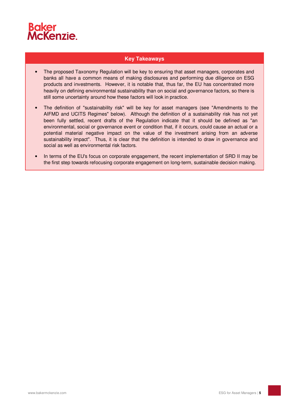

### **Key Takeaways**

- The proposed Taxonomy Regulation will be key to ensuring that asset managers, corporates and banks all have a common means of making disclosures and performing due diligence on ESG products and investments. However, it is notable that, thus far, the EU has concentrated more heavily on defining environmental sustainability than on social and governance factors, so there is still some uncertainty around how these factors will look in practice.
- The definition of "sustainability risk" will be key for asset managers (see "Amendments to the AIFMD and UCITS Regimes" below). Although the definition of a sustainability risk has not yet been fully settled, recent drafts of the Regulation indicate that it should be defined as "an environmental, social or governance event or condition that, if it occurs, could cause an actual or a potential material negative impact on the value of the investment arising from an adverse sustainability impact". Thus, it is clear that the definition is intended to draw in governance and social as well as environmental risk factors.
- In terms of the EU's focus on corporate engagement, the recent implementation of SRD II may be the first step towards refocusing corporate engagement on long-term, sustainable decision making.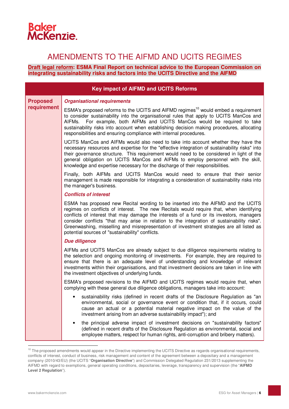## **Baker<br>McKenzie.**

## AMENDMENTS TO THE AIFMD AND UCITS REGIMES

#### **Draft legal reform: ESMA Final Report on technical advice to the European Commission on integrating sustainability risks and factors into the UCITS Directive and the AIFMD**

|                 | <b>Key impact of AIFMD and UCITS Reforms</b>                                                                                                                                                                                                                                                                                                                                                                                                                                                                             |
|-----------------|--------------------------------------------------------------------------------------------------------------------------------------------------------------------------------------------------------------------------------------------------------------------------------------------------------------------------------------------------------------------------------------------------------------------------------------------------------------------------------------------------------------------------|
| <b>Proposed</b> | <b>Organisational requirements</b>                                                                                                                                                                                                                                                                                                                                                                                                                                                                                       |
| requirement     | ESMA's proposed reforms to the UCITS and AIFMD regimes <sup>10</sup> would embed a requirement<br>to consider sustainability into the organisational rules that apply to UCITS ManCos and<br>For example, both AIFMs and UCITS ManCos would be required to take<br>AIFMs.<br>sustainability risks into account when establishing decision making procedures, allocating<br>responsibilities and ensuring compliance with internal procedures.                                                                            |
|                 | UCITS ManCos and AIFMs would also need to take into account whether they have the<br>necessary resources and expertise for the "effective integration of sustainability risks" into<br>their governance structure. This requirement would need to be considered in light of the<br>general obligation on UCITS ManCos and AIFMs to employ personnel with the skill,<br>knowledge and expertise necessary for the discharge of their responsibilities.                                                                    |
|                 | Finally, both AIFMs and UCITS ManCos would need to ensure that their senior<br>management is made responsible for integrating a consideration of sustainability risks into<br>the manager's business.                                                                                                                                                                                                                                                                                                                    |
|                 | <b>Conflicts of interest</b>                                                                                                                                                                                                                                                                                                                                                                                                                                                                                             |
|                 | ESMA has proposed new Recital wording to be inserted into the AIFMD and the UCITS<br>regimes on conflicts of interest. The new Recitals would require that, when identifying<br>conflicts of interest that may damage the interests of a fund or its investors, managers<br>consider conflicts "that may arise in relation to the integration of sustainability risks".<br>Greenwashing, misselling and misrepresentation of investment strategies are all listed as<br>potential sources of "sustainability" conflicts. |
|                 | <b>Due diligence</b>                                                                                                                                                                                                                                                                                                                                                                                                                                                                                                     |
|                 | AIFMs and UCITS ManCos are already subject to due diligence requirements relating to<br>the selection and ongoing monitoring of investments. For example, they are required to<br>ensure that there is an adequate level of understanding and knowledge of relevant<br>investments within their organisations, and that investment decisions are taken in line with<br>the investment objectives of underlying funds.                                                                                                    |
|                 | ESMA's proposed revisions to the AIFMD and UCITS regimes would require that, when<br>complying with these general due diligence obligations, managers take into account:                                                                                                                                                                                                                                                                                                                                                 |
|                 | sustainability risks (defined in recent drafts of the Disclosure Regulation as "an<br>environmental, social or governance event or condition that, if it occurs, could<br>cause an actual or a potential material negative impact on the value of the<br>investment arising from an adverse sustainability impact"); and                                                                                                                                                                                                 |
|                 | the principal adverse impact of investment decisions on "sustainability factors"<br>(defined in recent drafts of the Disclosure Regulation as environmental, social and<br>employee matters, respect for human rights, anti-corruption and bribery matters).                                                                                                                                                                                                                                                             |
|                 |                                                                                                                                                                                                                                                                                                                                                                                                                                                                                                                          |

 $10$  The proposed amendments would appear in the Directive implementing the UCITS Directive as regards organisational requirements, conflicts of interest, conduct of business, risk management and content of the agreement between a depositary and a management company (2010/43/EU) (the UCITS "**Organisation Directive**") and Commission Delegated Regulation 231/2013 supplementing the AIFMD with regard to exemptions, general operating conditions, depositaries, leverage, transparency and supervision (the "**AIFMD Level 2 Regulation**").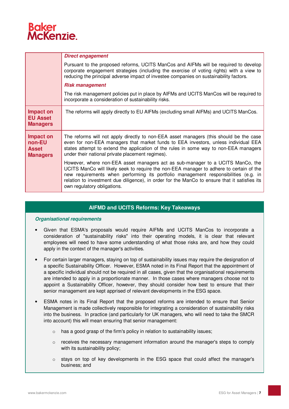## **cKenzie**

|                                                        | <b>Direct engagement</b>                                                                                                                                                                                                                                                                                                                                                                         |
|--------------------------------------------------------|--------------------------------------------------------------------------------------------------------------------------------------------------------------------------------------------------------------------------------------------------------------------------------------------------------------------------------------------------------------------------------------------------|
|                                                        | Pursuant to the proposed reforms, UCITS ManCos and AIFMs will be required to develop<br>corporate engagement strategies (including the exercise of voting rights) with a view to<br>reducing the principal adverse impact of investee companies on sustainability factors.                                                                                                                       |
|                                                        | <b>Risk management</b>                                                                                                                                                                                                                                                                                                                                                                           |
|                                                        | The risk management policies put in place by AIFMs and UCITS ManCos will be required to<br>incorporate a consideration of sustainability risks.                                                                                                                                                                                                                                                  |
| Impact on<br><b>EU Asset</b><br><b>Managers</b>        | The reforms will apply directly to EU AIFMs (excluding small AIFMs) and UCITS ManCos.                                                                                                                                                                                                                                                                                                            |
| Impact on<br>non-EU<br><b>Asset</b><br><b>Managers</b> | The reforms will not apply directly to non-EEA asset managers (this should be the case<br>even for non-EEA managers that market funds to EEA investors, unless individual EEA<br>states attempt to extend the application of the rules in some way to non-EEA managers<br>under their national private placement regimes).                                                                       |
|                                                        | However, where non-EEA asset managers act as sub-manager to a UCITS ManCo, the<br>UCITS ManCo will likely seek to require the non-EEA manager to adhere to certain of the<br>new requirements when performing its portfolio management responsibilities (e.g. in<br>relation to investment due diligence), in order for the ManCo to ensure that it satisfies its<br>own regulatory obligations. |

## **AIFMD and UCITS Reforms: Key Takeaways**

#### **Organisational requirements**

- Given that ESMA's proposals would require AIFMs and UCITS ManCos to incorporate a consideration of "sustainability risks" into their operating models, it is clear that relevant employees will need to have some understanding of what those risks are, and how they could apply in the context of the manager's activities.
- For certain larger managers, staying on top of sustainability issues may require the designation of a specific Sustainability Officer. However, ESMA noted in its Final Report that the appointment of a specific individual should not be required in all cases, given that the organisational requirements are intended to apply in a proportionate manner. In those cases where managers choose not to appoint a Sustainability Officer, however, they should consider how best to ensure that their senior management are kept apprised of relevant developments in the ESG space.
- ESMA notes in its Final Report that the proposed reforms are intended to ensure that Senior Management is made collectively responsible for integrating a consideration of sustainability risks into the business. In practice (and particularly for UK managers, who will need to take the SMCR into account) this will mean ensuring that senior management:
	- o has a good grasp of the firm's policy in relation to sustainability issues;
	- $\circ$  receives the necessary management information around the manager's steps to comply with its sustainability policy;
	- $\circ$  stays on top of key developments in the ESG space that could affect the manager's business; and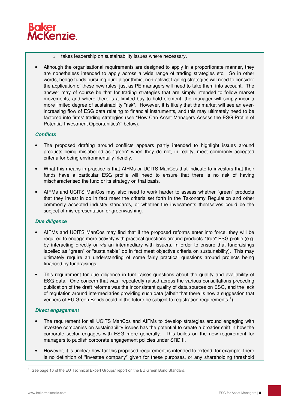

- o takes leadership on sustainability issues where necessary.
- Although the organisational requirements are designed to apply in a proportionate manner, they are nonetheless intended to apply across a wide range of trading strategies etc. So in other words, hedge funds pursuing pure algorithmic, non-activist trading strategies will need to consider the application of these new rules, just as PE managers will need to take them into account. The answer may of course be that for trading strategies that are simply intended to follow market movements, and where there is a limited buy to hold element, the manager will simply incur a more limited degree of sustainability "risk". However, it is likely that the market will see an everincreasing flow of ESG data relating to financial instruments, and this may ultimately need to be factored into firms' trading strategies (see "How Can Asset Managers Assess the ESG Profile of Potential Investment Opportunities?" below).

#### **Conflicts**

- The proposed drafting around conflicts appears partly intended to highlight issues around products being mislabelled as "green" when they do not, in reality, meet commonly accepted criteria for being environmentally friendly.
- What this means in practice is that AIFMs or UCITS ManCos that indicate to investors that their funds have a particular ESG profile will need to ensure that there is no risk of having mischaracterised the fund or its strategy on that basis.
- AIFMs and UCITS ManCos may also need to work harder to assess whether "green" products that they invest in do in fact meet the criteria set forth in the Taxonomy Regulation and other commonly accepted industry standards, or whether the investments themselves could be the subject of misrepresentation or greenwashing.

#### **Due diligence**

- AIFMs and UCITS ManCos may find that if the proposed reforms enter into force, they will be required to engage more actively with practical questions around products' "true" ESG profile (e.g. by interacting directly or *via* an intermediary with issuers, in order to ensure that fundraisings labelled as "green" or "sustainable" do in fact meet objective criteria on sustainability). This may ultimately require an understanding of some fairly practical questions around projects being financed by fundraisings.
- This requirement for due diligence in turn raises questions about the quality and availability of ESG data. One concern that was repeatedly raised across the various consultations preceding publication of the draft reforms was the inconsistent quality of data sources on ESG, and the lack of regulation around intermediaries providing such data (albeit that there is now a suggestion that verifiers of EU Green Bonds could in the future be subject to registration requirements<sup>11</sup>).

#### **Direct engagement**

- The requirement for all UCITS ManCos and AIFMs to develop strategies around engaging with investee companies on sustainability issues has the potential to create a broader shift in how the corporate sector engages with ESG more generally. This builds on the new requirement for managers to publish corporate engagement policies under SRD II.
- However, it is unclear how far this proposed requirement is intended to extend; for example, there is no definition of "investee company" given for these purposes, or any shareholding threshold

<sup>&</sup>lt;sup>11</sup> See page 10 of the EU Technical Expert Groups' report on the EU Green Bond Standard.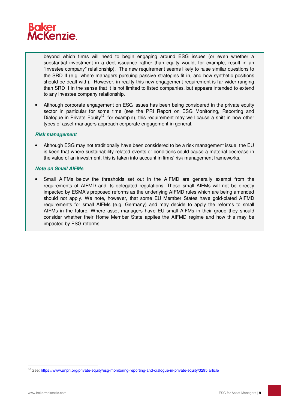

beyond which firms will need to begin engaging around ESG issues (or even whether a substantial investment in a debt issuance rather than equity would, for example, result in an "investee company" relationship). The new requirement seems likely to raise similar questions to the SRD II (e.g. where managers pursuing passive strategies fit in, and how synthetic positions should be dealt with). However, in reality this new engagement requirement is far wider ranging than SRD II in the sense that it is not limited to listed companies, but appears intended to extend to any investee company relationship.

• Although corporate engagement on ESG issues has been being considered in the private equity sector in particular for some time (see the PRI Report on ESG Monitoring, Reporting and Dialogue in Private Equity<sup>12</sup>, for example), this requirement may well cause a shift in how other types of asset managers approach corporate engagement in general.

#### **Risk management**

• Although ESG may not traditionally have been considered to be a risk management issue, the EU is keen that where sustainability related events or conditions could cause a material decrease in the value of an investment, this is taken into account in firms' risk management frameworks.

#### **Note on Small AIFMs**

• Small AIFMs below the thresholds set out in the AIFMD are generally exempt from the requirements of AIFMD and its delegated regulations. These small AIFMs will not be directly impacted by ESMA's proposed reforms as the underlying AIFMD rules which are being amended should not apply. We note, however, that some EU Member States have gold-plated AIFMD requirements for small AIFMs (e.g. Germany) and may decide to apply the reforms to small AIFMs in the future. Where asset managers have EU small AIFMs in their group they should consider whether their Home Member State applies the AIFMD regime and how this may be impacted by ESG reforms.

 $12$  See: https://www.unpri.org/private-equity/esg-monitoring-reporting-and-dialogue-in-private-equity/3295.article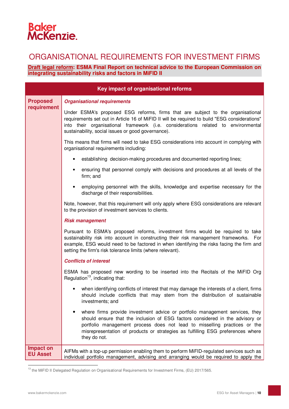# **Baker<br>McKenzie.**

## ORGANISATIONAL REQUIREMENTS FOR INVESTMENT FIRMS

### **Draft legal reform: ESMA Final Report on technical advice to the European Commission on integrating sustainability risks and factors in MiFID II**

| Key impact of organisational reforms |                                                                                                                                                                                                                                                                                                                                               |  |
|--------------------------------------|-----------------------------------------------------------------------------------------------------------------------------------------------------------------------------------------------------------------------------------------------------------------------------------------------------------------------------------------------|--|
| <b>Proposed</b>                      | <b>Organisational requirements</b>                                                                                                                                                                                                                                                                                                            |  |
| requirement                          | Under ESMA's proposed ESG reforms, firms that are subject to the organisational<br>requirements set out in Article 16 of MiFID II will be required to build "ESG considerations"<br>into their organisational framework (i.e. considerations related to environmental<br>sustainability, social issues or good governance).                   |  |
|                                      | This means that firms will need to take ESG considerations into account in complying with<br>organisational requirements including:                                                                                                                                                                                                           |  |
|                                      | establishing decision-making procedures and documented reporting lines;                                                                                                                                                                                                                                                                       |  |
|                                      | ensuring that personnel comply with decisions and procedures at all levels of the<br>firm; and                                                                                                                                                                                                                                                |  |
|                                      | employing personnel with the skills, knowledge and expertise necessary for the<br>$\bullet$<br>discharge of their responsibilities.                                                                                                                                                                                                           |  |
|                                      | Note, however, that this requirement will only apply where ESG considerations are relevant<br>to the provision of investment services to clients.                                                                                                                                                                                             |  |
|                                      | <b>Risk management</b>                                                                                                                                                                                                                                                                                                                        |  |
|                                      | Pursuant to ESMA's proposed reforms, investment firms would be required to take<br>sustainability risk into account in constructing their risk management frameworks. For<br>example, ESG would need to be factored in when identifying the risks facing the firm and<br>setting the firm's risk tolerance limits (where relevant).           |  |
|                                      | <b>Conflicts of interest</b>                                                                                                                                                                                                                                                                                                                  |  |
|                                      | ESMA has proposed new wording to be inserted into the Recitals of the MiFID Org<br>Regulation <sup>13</sup> , indicating that:                                                                                                                                                                                                                |  |
|                                      | when identifying conflicts of interest that may damage the interests of a client, firms<br>should include conflicts that may stem from the distribution of sustainable<br>investments; and                                                                                                                                                    |  |
|                                      | where firms provide investment advice or portfolio management services, they<br>should ensure that the inclusion of ESG factors considered in the advisory or<br>portfolio management process does not lead to misselling practices or the<br>misrepresentation of products or strategies as fulfilling ESG preferences where<br>they do not. |  |
| Impact on<br><b>EU Asset</b>         | AIFMs with a top-up permission enabling them to perform MiFID-regulated services such as<br>individual portfolio management, advising and arranging would be required to apply the                                                                                                                                                            |  |

<sup>&</sup>lt;sup>13</sup> the MiFID II Delegated Regulation on Organisational Requirements for Investment Firms, (EU) 2017/565.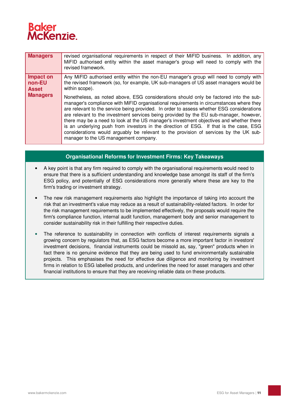

| <b>Managers</b>                     | revised organisational requirements in respect of their MiFID business. In addition, any<br>MiFID authorised entity within the asset manager's group will need to comply with the<br>revised framework.                                                                                                                                                                                                                                                                                                                                                                                                                                                                                        |
|-------------------------------------|------------------------------------------------------------------------------------------------------------------------------------------------------------------------------------------------------------------------------------------------------------------------------------------------------------------------------------------------------------------------------------------------------------------------------------------------------------------------------------------------------------------------------------------------------------------------------------------------------------------------------------------------------------------------------------------------|
| Impact on<br>non-EU<br><b>Asset</b> | Any MiFID authorised entity within the non-EU manager's group will need to comply with<br>the revised framework (so, for example, UK sub-managers of US asset managers would be<br>within scope).                                                                                                                                                                                                                                                                                                                                                                                                                                                                                              |
| <b>Managers</b>                     | Nonetheless, as noted above, ESG considerations should only be factored into the sub-<br>manager's compliance with MiFID organisational requirements in circumstances where they<br>are relevant to the service being provided. In order to assess whether ESG considerations<br>are relevant to the investment services being provided by the EU sub-manager, however,<br>there may be a need to look at the US manager's investment objectives and whether there<br>is an underlying push from investors in the direction of ESG. If that is the case, ESG<br>considerations would arguably be relevant to the provision of services by the UK sub-<br>manager to the US management company. |

### **Organisational Reforms for Investment Firms: Key Takeaways**

- A key point is that any firm required to comply with the organisational requirements would need to ensure that there is a sufficient understanding and knowledge base amongst its staff of the firm's ESG policy, and potentially of ESG considerations more generally where these are key to the firm's trading or investment strategy.
- The new risk management requirements also highlight the importance of taking into account the risk that an investment's value may reduce as a result of sustainability-related factors. In order for the risk management requirements to be implemented effectively, the proposals would require the firm's compliance function, internal audit function, management body and senior management to consider sustainability risk in their fulfilling their respective duties.
- The reference to sustainability in connection with conflicts of interest requirements signals a growing concern by regulators that, as ESG factors become a more important factor in investors' investment decisions, financial instruments could be missold as, say, "green" products when in fact there is no genuine evidence that they are being used to fund environmentally sustainable projects. This emphasises the need for effective due diligence and monitoring by investment firms in relation to ESG labelled products, and underlines the need for asset managers and other financial institutions to ensure that they are receiving reliable data on these products.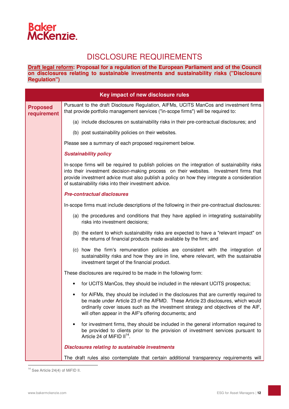## **Baker<br>McKenzie.**

## DISCLOSURE REQUIREMENTS

**Draft legal reform: Proposal for a regulation of the European Parliament and of the Council on disclosures relating to sustainable investments and sustainability risks ("Disclosure Regulation")** 

|                                | Key impact of new disclosure rules                                                                                                                                                                                                                                                                                                              |
|--------------------------------|-------------------------------------------------------------------------------------------------------------------------------------------------------------------------------------------------------------------------------------------------------------------------------------------------------------------------------------------------|
| <b>Proposed</b><br>requirement | Pursuant to the draft Disclosure Regulation, AIFMs, UCITS ManCos and investment firms<br>that provide portfolio management services ("in-scope firms") will be required to:                                                                                                                                                                     |
|                                | (a) include disclosures on sustainability risks in their pre-contractual disclosures; and                                                                                                                                                                                                                                                       |
|                                | (b) post sustainability policies on their websites.                                                                                                                                                                                                                                                                                             |
|                                | Please see a summary of each proposed requirement below.                                                                                                                                                                                                                                                                                        |
|                                | <b>Sustainability policy</b>                                                                                                                                                                                                                                                                                                                    |
|                                | In-scope firms will be required to publish policies on the integration of sustainability risks<br>into their investment decision-making process on their websites. Investment firms that<br>provide investment advice must also publish a policy on how they integrate a consideration<br>of sustainability risks into their investment advice. |
|                                | <b>Pre-contractual disclosures</b>                                                                                                                                                                                                                                                                                                              |
|                                | In-scope firms must include descriptions of the following in their pre-contractual disclosures:                                                                                                                                                                                                                                                 |
|                                | (a) the procedures and conditions that they have applied in integrating sustainability<br>risks into investment decisions;                                                                                                                                                                                                                      |
|                                | (b) the extent to which sustainability risks are expected to have a "relevant impact" on<br>the returns of financial products made available by the firm; and                                                                                                                                                                                   |
|                                | (c) how the firm's remuneration policies are consistent with the integration of<br>sustainability risks and how they are in line, where relevant, with the sustainable<br>investment target of the financial product.                                                                                                                           |
|                                | These disclosures are required to be made in the following form:                                                                                                                                                                                                                                                                                |
|                                | for UCITS ManCos, they should be included in the relevant UCITS prospectus;                                                                                                                                                                                                                                                                     |
|                                | for AIFMs, they should be included in the disclosures that are currently required to<br>٠<br>be made under Article 23 of the AIFMD. These Article 23 disclosures, which would<br>ordinarily cover issues such as the investment strategy and objectives of the AIF,<br>will often appear in the AIF's offering documents; and                   |
|                                | for investment firms, they should be included in the general information required to<br>be provided to clients prior to the provision of investment services pursuant to<br>Article 24 of MiFID II <sup>14</sup> .                                                                                                                              |
|                                | <b>Disclosures relating to sustainable investments</b>                                                                                                                                                                                                                                                                                          |
|                                | The draft rules also contemplate that certain additional transparency requirements will                                                                                                                                                                                                                                                         |

 $\overline{a}$  $14$  See Article 24(4) of MiFID II.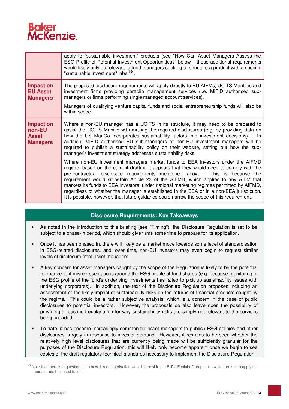

|                                                        | apply to "sustainable investment" products (see "How Can Asset Managers Assess the<br>ESG Profile of Potential Investment Opportunities?" below - these additional requirements<br>would likely only be relevant to fund managers seeking to structure a product with a specific<br>"sustainable investment" label <sup>15</sup> ).                                                                                                                                                                                                                                                                                                        |
|--------------------------------------------------------|--------------------------------------------------------------------------------------------------------------------------------------------------------------------------------------------------------------------------------------------------------------------------------------------------------------------------------------------------------------------------------------------------------------------------------------------------------------------------------------------------------------------------------------------------------------------------------------------------------------------------------------------|
| Impact on<br><b>EU Asset</b><br><b>Managers</b>        | The proposed disclosure requirements will apply directly to EU AIFMs, UCITS ManCos and<br>investment firms providing portfolio management services (i.e. MiFID authorised sub-<br>managers or firms performing single managed account services).                                                                                                                                                                                                                                                                                                                                                                                           |
|                                                        | Managers of qualifying venture capital funds and social entrepreneurship funds will also be<br>within scope.                                                                                                                                                                                                                                                                                                                                                                                                                                                                                                                               |
| Impact on<br>non-EU<br><b>Asset</b><br><b>Managers</b> | Where a non-EU manager has a UCITS in its structure, it may need to be prepared to<br>assist the UCITS ManCo with making the required disclosures (e.g. by providing data on<br>how the US ManCo incorporates sustainability factors into investment decisions).<br>-In<br>addition, MiFID authorised EU sub-managers of non-EU investment managers will be<br>required to publish a sustainability policy on their website, setting out how the sub-<br>manager's investment strategy addresses sustainability risks.                                                                                                                     |
|                                                        | Where non-EU investment managers market funds to EEA investors under the AIFMD<br>regime, based on the current drafting it appears that they would need to comply with the<br>pre-contractual disclosure requirements mentioned above.<br>This is because the<br>requirement would sit within Article 23 of the AIFMD, which applies to any AIFM that<br>markets its funds to EEA investors under national marketing regimes permitted by AIFMD,<br>regardless of whether the manager is established in the EEA or in a non-EEA jurisdiction.<br>It is possible, however, that future guidance could narrow the scope of this requirement. |

#### **Disclosure Requirements: Key Takeaways**

- As noted in the introduction to this briefing (see "Timing"), the Disclosure Regulation is set to be subject to a phase-in period, which should give firms some time to prepare for its application.
- Once it has been phased in, there will likely be a market move towards some level of standardisation in ESG-related disclosures, and, over time, non-EU investors may even begin to request similar levels of disclosure from asset managers.
- A key concern for asset managers caught by the scope of the Regulation is likely to be the potential for inadvertent misrepresentations around the ESG profile of fund shares (e.g. because monitoring of the ESG profile of the fund's underlying investments has failed to pick up sustainability issues with underlying corporates). In addition, the text of the Disclosure Regulation proposes including an assessment of the likely impact of sustainability risks on the returns of financial products caught by the regime. This could be a rather subjective analysis, which is a concern in the case of public disclosures to potential investors. However, the proposals do also leave open the possibility of providing a reasoned explanation for why sustainability risks are simply not relevant to the services being provided.
- To date, it has become increasingly common for asset managers to publish ESG policies and other disclosures, largely in response to investor demand. However, it remains to be seen whether the relatively high level disclosures that are currently being made will be sufficiently granular for the purposes of the Disclosure Regulation; this will likely only become apparent once we begin to see copies of the draft regulatory technical standards necessary to implement the Disclosure Regulation.

<sup>&</sup>lt;sup>15</sup> Note that there is a question as to how this categorisation would sit beside the EU's "Ecolabel" proposals, which are set to apply to certain retail-focused funds.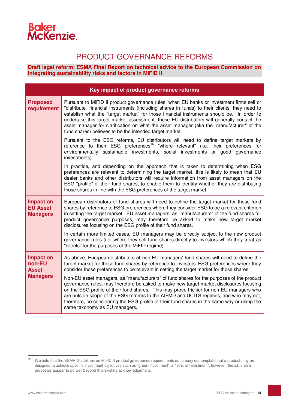## **Baker<br>McKenzie.**

## PRODUCT GOVERNANCE REFORMS

**Draft legal reform: ESMA Final Report on technical advice to the European Commission on integrating sustainability risks and factors in MiFID II**

| Key impact of product governance reforms               |                                                                                                                                                                                                                                                                                                                                                                                                                                                                                                                                            |  |
|--------------------------------------------------------|--------------------------------------------------------------------------------------------------------------------------------------------------------------------------------------------------------------------------------------------------------------------------------------------------------------------------------------------------------------------------------------------------------------------------------------------------------------------------------------------------------------------------------------------|--|
| <b>Proposed</b><br>requirement                         | Pursuant to MiFID II product governance rules, when EU banks or investment firms sell or<br>"distribute" financial instruments (including shares in funds) to their clients, they need to<br>establish what the "target market" for those financial instruments should be. In order to<br>undertake this target market assessment, these EU distributors will generally contact the<br>asset manager for clarification on what the asset manager (aka the "manufacturer" of the<br>fund shares) believes to be the intended target market. |  |
|                                                        | Pursuant to the ESG reforms, EU distributors will need to define target markets by<br>reference to their ESG preferences <sup>16</sup> "where relevant" (i.e. their preferences for<br>environmentally sustainable investments, social investments or good governance<br>investments).                                                                                                                                                                                                                                                     |  |
|                                                        | In practice, and depending on the approach that is taken to determining when ESG<br>preferences are relevant to determining the target market, this is likely to mean that EU<br>dealer banks and other distributors will require information from asset managers on the<br>ESG "profile" of their fund shares, to enable them to identify whether they are distributing<br>those shares in line with the ESG preferences of the target market.                                                                                            |  |
| <b>Impact on</b><br><b>EU Asset</b><br><b>Managers</b> | European distributors of fund shares will need to define the target market for those fund<br>shares by reference to ESG preferences where they consider ESG to be a relevant criterion<br>in setting the target market. EU asset managers, as "manufacturers" of the fund shares for<br>product governance purposes, may therefore be asked to make new target market<br>disclosures focusing on the ESG profile of their fund shares.                                                                                                     |  |
|                                                        | In certain more limited cases, EU managers may be directly subject to the new product<br>governance rules (i.e. where they sell fund shares directly to investors which they treat as<br>"clients" for the purposes of the MiFID regime).                                                                                                                                                                                                                                                                                                  |  |
| Impact on<br>non-EU<br><b>Asset</b><br><b>Managers</b> | As above, European distributors of non-EU managers' fund shares will need to define the<br>target market for those fund shares by reference to investors' ESG preferences where they<br>consider those preferences to be relevant in setting the target market for those shares.                                                                                                                                                                                                                                                           |  |
|                                                        | Non-EU asset managers, as "manufacturers" of fund shares for the purposes of the product<br>governance rules, may therefore be asked to make new target market disclosures focusing<br>on the ESG profile of their fund shares. This may prove trickier for non-EU managers who<br>are outside scope of the ESG reforms to the AIFMD and UCITS regimes, and who may not,<br>therefore, be considering the ESG profile of their fund shares in the same way or using the<br>same taxonomy as EU managers.                                   |  |

 $16$ We note that the ESMA Guidelines on MiFID II product governance requirements do already contemplate that a product may be designed to achieve specific investment objectives such as "green investment" or "ethical investment"; however, the EU's ESG proposals appear to go well beyond this existing acknowledgement.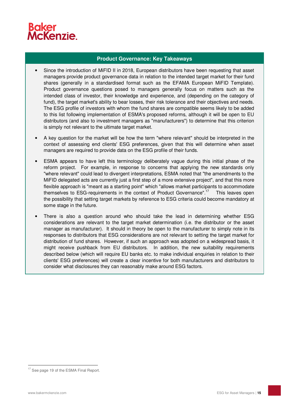

### **Product Governance: Key Takeaways**

- Since the introduction of MiFID II in 2018, European distributors have been requesting that asset managers provide product governance data in relation to the intended target market for their fund shares (generally in a standardised format such as the EFAMA European MiFID Template). Product governance questions posed to managers generally focus on matters such as the intended class of investor, their knowledge and experience, and (depending on the category of fund), the target market's ability to bear losses, their risk tolerance and their objectives and needs. The ESG profile of investors with whom the fund shares are compatible seems likely to be added to this list following implementation of ESMA's proposed reforms, although it will be open to EU distributors (and also to investment managers as "manufacturers") to determine that this criterion is simply not relevant to the ultimate target market.
- A key question for the market will be how the term "where relevant" should be interpreted in the context of assessing end clients' ESG preferences, given that this will determine when asset managers are required to provide data on the ESG profile of their funds.
- ESMA appears to have left this terminology deliberately vague during this initial phase of the reform project. For example, in response to concerns that applying the new standards only "where relevant" could lead to divergent interpretations, ESMA noted that "the amendments to the MiFID delegated acts are currently just a first step of a more extensive project", and that this more flexible approach is "meant as a starting point" which "allows market participants to accommodate themselves to ESG-requirements in the context of Product Governance".<sup>17</sup> This leaves open the possibility that setting target markets by reference to ESG criteria could become mandatory at some stage in the future.
- There is also a question around who should take the lead in determining whether ESG considerations are relevant to the target market determination (i.e. the distributor or the asset manager as manufacturer). It should in theory be open to the manufacturer to simply note in its responses to distributors that ESG considerations are not relevant to setting the target market for distribution of fund shares. However, if such an approach was adopted on a widespread basis, it might receive pushback from EU distributors. In addition, the new suitability requirements described below (which will require EU banks etc. to make individual enquiries in relation to their clients' ESG preferences) will create a clear incentive for both manufacturers and distributors to consider what disclosures they can reasonably make around ESG factors.

 $\overline{a}$ <sup>17</sup> See page 19 of the ESMA Final Report.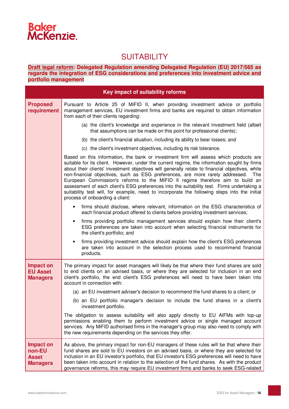

## **SUITABILITY**

**Draft legal reform: Delegated Regulation amending Delegated Regulation (EU) 2017/565 as regards the integration of ESG considerations and preferences into investment advice and portfolio management**

| Key impact of suitability reforms                             |                                                                                                                                                                                                                                                                                                                                                                                                                                                                                                                                                                                                                                                                                                 |  |
|---------------------------------------------------------------|-------------------------------------------------------------------------------------------------------------------------------------------------------------------------------------------------------------------------------------------------------------------------------------------------------------------------------------------------------------------------------------------------------------------------------------------------------------------------------------------------------------------------------------------------------------------------------------------------------------------------------------------------------------------------------------------------|--|
| <b>Proposed</b><br>requirement                                | Pursuant to Article 25 of MiFID II, when providing investment advice or portfolio<br>management services, EU investment firms and banks are required to obtain information<br>from each of their clients regarding:                                                                                                                                                                                                                                                                                                                                                                                                                                                                             |  |
|                                                               | (a) the client's knowledge and experience in the relevant investment field (albeit<br>that assumptions can be made on this point for professional clients);                                                                                                                                                                                                                                                                                                                                                                                                                                                                                                                                     |  |
|                                                               | (b) the client's financial situation, including its ability to bear losses; and                                                                                                                                                                                                                                                                                                                                                                                                                                                                                                                                                                                                                 |  |
|                                                               | (c) the client's investment objectives, including its risk tolerance.                                                                                                                                                                                                                                                                                                                                                                                                                                                                                                                                                                                                                           |  |
|                                                               | Based on this information, the bank or investment firm will assess which products are<br>suitable for its client. However, under the current regime, the information sought by firms<br>about their clients' investment objectives will generally relate to financial objectives, while<br>non-financial objectives, such as ESG preferences, are more rarely addressed. The<br>European Commission's reforms to the MiFID II regime therefore aim to build an<br>assessment of each client's ESG preferences into the suitability test. Firms undertaking a<br>suitability test will, for example, need to incorporate the following steps into the initial<br>process of onboarding a client: |  |
|                                                               | firms should disclose, where relevant, information on the ESG characteristics of<br>each financial product offered to clients before providing investment services;                                                                                                                                                                                                                                                                                                                                                                                                                                                                                                                             |  |
|                                                               | firms providing portfolio management services should explain how their client's<br>$\bullet$<br>ESG preferences are taken into account when selecting financial instruments for<br>the client's portfolio; and                                                                                                                                                                                                                                                                                                                                                                                                                                                                                  |  |
|                                                               | firms providing investment advice should explain how the client's ESG preferences<br>$\bullet$<br>are taken into account in the selection process used to recommend financial<br>products.                                                                                                                                                                                                                                                                                                                                                                                                                                                                                                      |  |
| <b>Impact on</b><br><b>EU Asset</b><br><b>Managers</b>        | The primary impact for asset managers will likely be that where their fund shares are sold<br>to end clients on an advised basis, or where they are selected for inclusion in an end<br>client's portfolio, the end client's ESG preferences will need to have been taken into<br>account in connection with:                                                                                                                                                                                                                                                                                                                                                                                   |  |
|                                                               | (a) an EU investment adviser's decision to recommend the fund shares to a client; or                                                                                                                                                                                                                                                                                                                                                                                                                                                                                                                                                                                                            |  |
|                                                               | (b) an EU portfolio manager's decision to include the fund shares in a client's<br>investment portfolio.                                                                                                                                                                                                                                                                                                                                                                                                                                                                                                                                                                                        |  |
|                                                               | The obligation to assess suitability will also apply directly to EU AIFMs with top-up<br>permissions enabling them to perform investment advice or single managed account<br>services. Any MiFID authorised firms in the manager's group may also need to comply with<br>the new requirements depending on the services they offer.                                                                                                                                                                                                                                                                                                                                                             |  |
| <b>Impact on</b><br>non-EU<br><b>Asset</b><br><b>Managers</b> | As above, the primary impact for non-EU managers of these rules will be that where their<br>fund shares are sold to EU investors on an advised basis, or where they are selected for<br>inclusion in an EU investor's portfolio, that EU investor's ESG preferences will need to have<br>been taken into account in relation to the selection of the fund shares. As with the product<br>governance reforms, this may require EU investment firms and banks to seek ESG-related                                                                                                                                                                                                                 |  |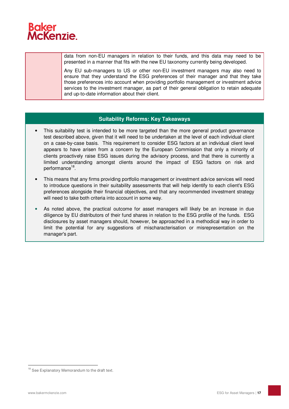

data from non-EU managers in relation to their funds, and this data may need to be presented in a manner that fits with the new EU taxonomy currently being developed.

Any EU sub-managers to US or other non-EU investment managers may also need to ensure that they understand the ESG preferences of their manager and that they take those preferences into account when providing portfolio management or investment advice services to the investment manager, as part of their general obligation to retain adequate and up-to-date information about their client.

#### **Suitability Reforms: Key Takeaways**

- This suitability test is intended to be more targeted than the more general product governance test described above, given that it will need to be undertaken at the level of each individual client on a case-by-case basis. This requirement to consider ESG factors at an individual client level appears to have arisen from a concern by the European Commission that only a minority of clients proactively raise ESG issues during the advisory process, and that there is currently a limited understanding amongst clients around the impact of ESG factors on risk and performance<sup>18</sup>.
- This means that any firms providing portfolio management or investment advice services will need to introduce questions in their suitability assessments that will help identify to each client's ESG preferences alongside their financial objectives, and that any recommended investment strategy will need to take both criteria into account in some way.
- As noted above, the practical outcome for asset managers will likely be an increase in due diligence by EU distributors of their fund shares in relation to the ESG profile of the funds. ESG disclosures by asset managers should, however, be approached in a methodical way in order to limit the potential for any suggestions of mischaracterisation or misrepresentation on the manager's part.

<sup>&</sup>lt;sup>18</sup> See Explanatory Memorandum to the draft text.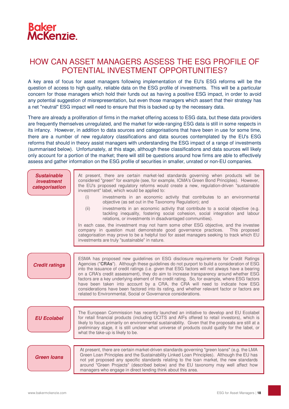

## HOW CAN ASSET MANAGERS ASSESS THE ESG PROFILE OF POTENTIAL INVESTMENT OPPORTUNITIES?

A key area of focus for asset managers following implementation of the EU's ESG reforms will be the question of access to high quality, reliable data on the ESG profile of investments. This will be a particular concern for those managers which hold their funds out as having a positive ESG impact, in order to avoid any potential suggestion of misrepresentation, but even those managers which assert that their strategy has a net "neutral" ESG impact will need to ensure that this is backed up by the necessary data.

There are already a proliferation of firms in the market offering access to ESG data, but these data providers are frequently themselves unregulated, and the market for wide-ranging ESG data is still in some respects in its infancy. However, in addition to data sources and categorisations that have been in use for some time, there are a number of new regulatory classifications and data sources contemplated by the EU's ESG reforms that should in theory assist managers with understanding the ESG impact of a range of investments (summarised below). Unfortunately, at this stage, although these classifications and data sources will likely only account for a portion of the market; there will still be questions around how firms are able to effectively assess and gather information on the ESG profile of securities in smaller, unrated or non-EU companies.

| <b>Sustainable</b><br><i><b>investment</b></i><br>categorisation | At present, there are certain market-led standards governing when products will be<br>considered "green" for example (see, for example, ICMA's Green Bond Principles). However,<br>the EU's proposed regulatory reforms would create a new, regulation-driven "sustainable<br>investment" label, which would be applied to:<br>(i)<br>investments in an economic activity that contributes to an environmental<br>objective (as set out in the Taxonomy Regulation); and<br>(ii)<br>investments in an economic activity that contribute to a social objective (e.g.<br>tackling inequality, fostering social cohesion, social integration and labour<br>relations, or investments in disadvantaged communities).<br>In each case, the investment may not harm some other ESG objective, and the investee<br>company in question must demonstrate good governance practices. This proposed<br>categorisation may prove to be a helpful tool for asset managers seeking to track which EU<br>investments are truly "sustainable" in nature. |
|------------------------------------------------------------------|-------------------------------------------------------------------------------------------------------------------------------------------------------------------------------------------------------------------------------------------------------------------------------------------------------------------------------------------------------------------------------------------------------------------------------------------------------------------------------------------------------------------------------------------------------------------------------------------------------------------------------------------------------------------------------------------------------------------------------------------------------------------------------------------------------------------------------------------------------------------------------------------------------------------------------------------------------------------------------------------------------------------------------------------|
| <b>Credit ratings</b>                                            | ESMA has proposed new guidelines on ESG disclosure requirements for Credit Ratings<br>Agencies ("CRAs"). Although these guidelines do not purport to build a consideration of ESG<br>into the issuance of credit ratings (i.e. given that ESG factors will not always have a bearing<br>on a CRA's credit assessment), they do aim to increase transparency around whether ESG<br>factors are a key underlying element of the credit rating. So, for example, where ESG factors<br>have been taken into account by a CRA, the CRA will need to indicate how ESG<br>considerations have been factored into its rating, and whether relevant factor or factors are<br>related to Environmental, Social or Governance considerations.                                                                                                                                                                                                                                                                                                        |
| <b>EU Ecolabel</b>                                               | The European Commission has recently launched an initiative to develop and EU Ecolabel<br>for retail financial products (including UCITS and AIFs offered to retail investors), which is<br>likely to focus primarily on environmental sustainability. Given that the proposals are still at a<br>preliminary stage, it is still unclear what universe of products could qualify for the label, or<br>what the take-up is likely to be.                                                                                                                                                                                                                                                                                                                                                                                                                                                                                                                                                                                                   |
|                                                                  |                                                                                                                                                                                                                                                                                                                                                                                                                                                                                                                                                                                                                                                                                                                                                                                                                                                                                                                                                                                                                                           |
| <b>Green loans</b>                                               | At present, there are certain market-driven standards governing "green loans" (e.g. the LMA<br>Green Loan Principles and the Sustainability Linked Loan Principles). Although the EU has<br>not yet proposed any specific standards relating to the loan market, the new standards<br>around "Green Projects" (described below) and the EU taxonomy may well affect how<br>managers who engage in direct lending think about this area.                                                                                                                                                                                                                                                                                                                                                                                                                                                                                                                                                                                                   |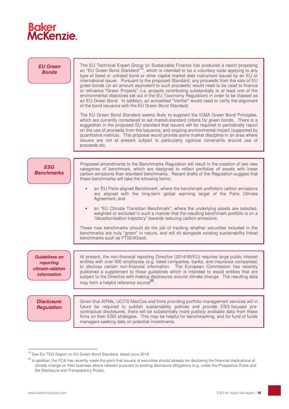

| <b>EU Green</b><br><b>Bonds</b>                                             | The EU Technical Expert Group on Sustainable Finance has produced a report proposing<br>an "EU Green Bond Standard" <sup>19</sup> , which is intended to be a voluntary code applying to any<br>type of listed or unlisted bond or other capital market debt instrument issued by an EU or<br>international issuer. Pursuant to the proposed Standard, any proceeds from the sale of EU<br>green bonds (or an amount equivalent to such proceeds) would need to be used to finance<br>or refinance "Green Projects" (i.e. projects contributing substantially to at least one of the<br>environmental objectives set out in the EU Taxonomy Regulation) in order to be classed as<br>an EU Green Bond. In addition, an accredited "Verifier" would need to verify the alignment<br>of the bond issuance with the EU Green Bond Standard.<br>The EU Green Bond Standard seems likely to supplant the ICMA Green Bond Principles,<br>which are currently considered to set market-standard criteria for green bonds. There is a<br>suggestion in the proposed EU standard that issuers will be required to periodically report<br>on the use of proceeds from the issuance, and ongoing environmental impact (supported by<br>quantitative metrics). This proposal would provide some market discipline in an area where<br>issuers are not at present subject to particularly rigorous constraints around use of<br>proceeds etc. |
|-----------------------------------------------------------------------------|----------------------------------------------------------------------------------------------------------------------------------------------------------------------------------------------------------------------------------------------------------------------------------------------------------------------------------------------------------------------------------------------------------------------------------------------------------------------------------------------------------------------------------------------------------------------------------------------------------------------------------------------------------------------------------------------------------------------------------------------------------------------------------------------------------------------------------------------------------------------------------------------------------------------------------------------------------------------------------------------------------------------------------------------------------------------------------------------------------------------------------------------------------------------------------------------------------------------------------------------------------------------------------------------------------------------------------------------------------------------------------------------------------------------------------|
|                                                                             |                                                                                                                                                                                                                                                                                                                                                                                                                                                                                                                                                                                                                                                                                                                                                                                                                                                                                                                                                                                                                                                                                                                                                                                                                                                                                                                                                                                                                                  |
| <b>ESG</b><br><b>Benchmarks</b>                                             | Proposed amendments to the Benchmarks Regulation will result in the creation of two new<br>categories of benchmark, which are designed to reflect portfolios of assets with lower<br>carbon emissions than standard benchmarks. Recent drafts of the Regulation suggest that<br>these benchmarks will take the following forms:                                                                                                                                                                                                                                                                                                                                                                                                                                                                                                                                                                                                                                                                                                                                                                                                                                                                                                                                                                                                                                                                                                  |
|                                                                             | an 'EU Paris-aligned Benchmark', where the benchmark portfolio's carbon emissions<br>are aligned with the long-term global warming target of the Paris Climate<br>Agreement; and                                                                                                                                                                                                                                                                                                                                                                                                                                                                                                                                                                                                                                                                                                                                                                                                                                                                                                                                                                                                                                                                                                                                                                                                                                                 |
|                                                                             | an "EU Climate Transition Benchmark", where the underlying assets are selected,<br>weighted or excluded in such a manner that the resulting benchmark portfolio is on a<br>"decarbonisation trajectory" towards reducing carbon emissions.                                                                                                                                                                                                                                                                                                                                                                                                                                                                                                                                                                                                                                                                                                                                                                                                                                                                                                                                                                                                                                                                                                                                                                                       |
|                                                                             | These new benchmarks should do the job of tracking whether securities included in the<br>benchmarks are truly "green" in nature, and will sit alongside existing sustainability linked<br>benchmarks such as FTSE4Good.                                                                                                                                                                                                                                                                                                                                                                                                                                                                                                                                                                                                                                                                                                                                                                                                                                                                                                                                                                                                                                                                                                                                                                                                          |
|                                                                             |                                                                                                                                                                                                                                                                                                                                                                                                                                                                                                                                                                                                                                                                                                                                                                                                                                                                                                                                                                                                                                                                                                                                                                                                                                                                                                                                                                                                                                  |
| <b>Guidelines on</b><br>reporting<br>climate-relation<br><i>information</i> | At present, the non-financial reporting Directive (2014/95/EU) requires large public interest<br>entities with over 500 employees (e.g. listed companies, banks, and insurance companies)<br>to disclose certain non-financial information. The European Commission has recently<br>published a supplement to those guidelines which is intended to assist entities that are<br>subject to the Directive with making disclosures around climate change. The resulting data<br>may form a helpful reference source <sup>20</sup> .                                                                                                                                                                                                                                                                                                                                                                                                                                                                                                                                                                                                                                                                                                                                                                                                                                                                                                |
|                                                                             |                                                                                                                                                                                                                                                                                                                                                                                                                                                                                                                                                                                                                                                                                                                                                                                                                                                                                                                                                                                                                                                                                                                                                                                                                                                                                                                                                                                                                                  |
| <b>Disclosure</b><br><b>Regulation</b>                                      | Given that AIFMs, UCITS ManCos and firms providing portfolio management services will in<br>future be required to publish sustainability policies and provide ESG-focused pre-<br>contractual disclosures, there will be substantially more publicly available data from these<br>firms on their ESG strategies. This may be helpful for benchmarking, and for fund of funds<br>managers seeking data on potential investments.                                                                                                                                                                                                                                                                                                                                                                                                                                                                                                                                                                                                                                                                                                                                                                                                                                                                                                                                                                                                  |

<sup>&</sup>lt;sup>19</sup> See EU TEG Report on EU Green Bond Standard, dated June 2019.

<sup>&</sup>lt;sup>20</sup> In addition, the FCA has recently made the point that issuers of securities should already be disclosing the financial implications of climate change on their business where relevant pursuant to existing disclosure obligations (e.g. under the Prospectus Rules and the Disclosure and Transparency Rules).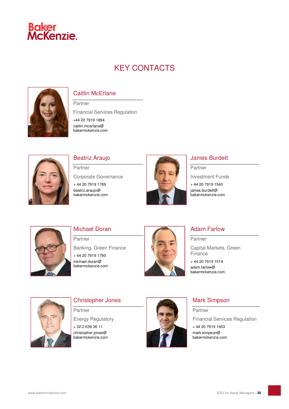

## KEY CONTACTS



## Caitlin McErlane

Partner Financial Services Regulation +44 20 7919 1894 caitlin.mcerlane@



## Beatriz Araujo

bakermckenzie.com

**Partner** Corporate Governance

+ 44 20 7919 1789 beatriz.araujo@ bakermckenzie.com



## James Burdett

Partner

Investment Funds

+ 44 20 7919 1540 james.burdett@

bakermckenzie.com



## Michael Doran

Partner Banking, Green Finance + 44 20 7919 1790 michael.doran@ bakermckenzie.com



## Adam Farlow

Partner Capital Markets, Green **Finance** 

+ 44 20 7919 1514 adam.farlow@ bakermckenzie.com

## Christopher Jones

Partner

Energy Regulatory

+ 32 2 639 36 11 christopher.jones@ bakermckenzie.com



## Mark Simpson

Partner Financial Services Regulation

+ 44 20 7919 1403 mark.simpson@ bakermckenzie.com